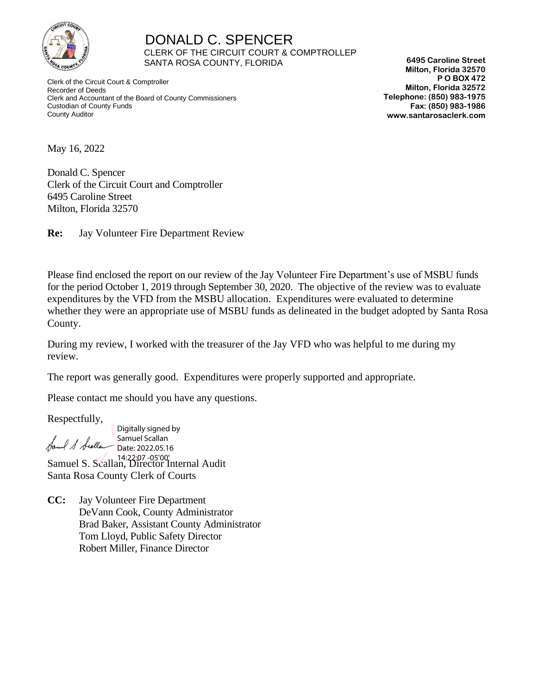

 DONALD C. SPENCER CLERK OF THE CIRCUIT COURT & COMPTROLLER SANTA ROSA COUNTY, FLORIDA

 Clerk of the Circuit Court & Comptroller Recorder of Deeds Clerk and Accountant of the Board of County Commissioners Custodian of County Funds County Auditor

**6495 Caroline Street Milton, Florida 32570 P O BOX 472 Milton, Florida 32572 Telephone: (850) 983-1975 Fax: (850) 983-1986 www.santarosaclerk.com**

May 16, 2022

Donald C. Spencer Clerk of the Circuit Court and Comptroller 6495 Caroline Street Milton, Florida 32570

**Re:** Jay Volunteer Fire Department Review

Please find enclosed the report on our review of the Jay Volunteer Fire Department's use of MSBU funds for the period October 1, 2019 through September 30, 2020. The objective of the review was to evaluate expenditures by the VFD from the MSBU allocation. Expenditures were evaluated to determine whether they were an appropriate use of MSBU funds as delineated in the budget adopted by Santa Rosa County.

During my review, I worked with the treasurer of the Jay VFD who was helpful to me during my review.

The report was generally good. Expenditures were properly supported and appropriate.

Please contact me should you have any questions.

Respectfully,

Digitally signed by Samuel Scallan I S Scolla Date: 2022.05.16 Samuel S. Scallan, Director Internal Audit 14:22:07 -05'00'Santa Rosa County Clerk of Courts

**CC:** Jay Volunteer Fire Department DeVann Cook, County Administrator Brad Baker, Assistant County Administrator Tom Lloyd, Public Safety Director Robert Miller, Finance Director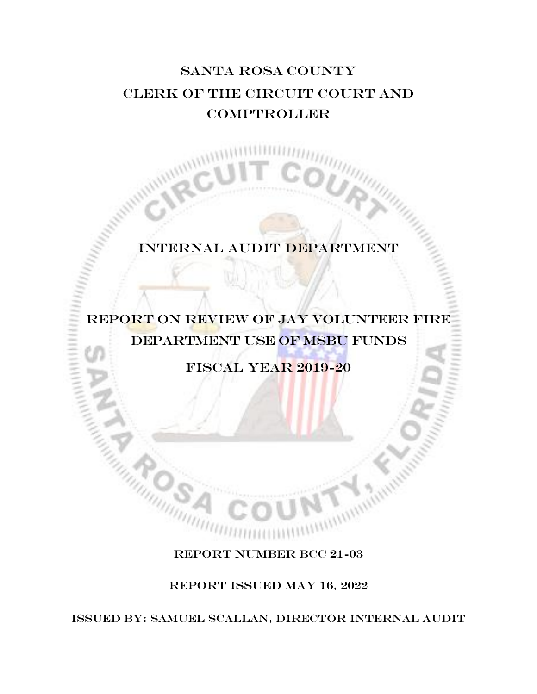# Santa Rosa COUNTY CLERK OF THE circuit COURT AND **COMPTROLLER**

## Internal audit DEPARTMENT

# REPORT ON REVIEW OF jay volunteer fire department use of msbu funds

Fiscal year 2019-20

#### REPORT NUMBER BCC 21-03

REPORT ISSUED May 16, 2022

ISSUED BY: SAMUEL SCALLAN, Director Internal audit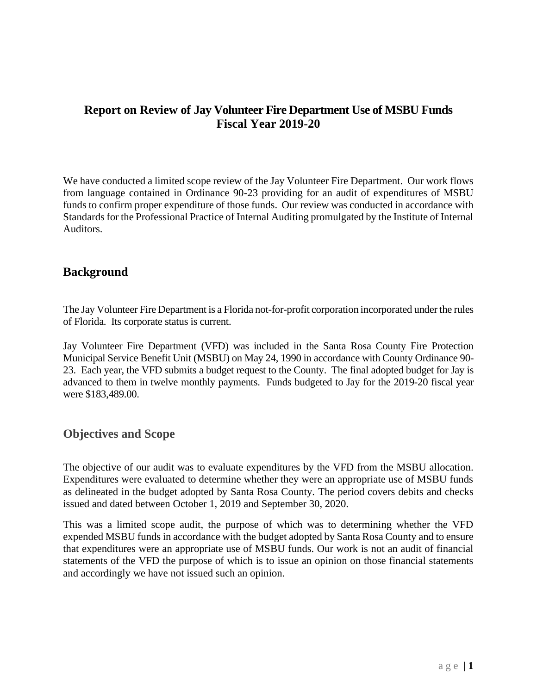### **Report on Review of Jay Volunteer Fire Department Use of MSBU Funds Fiscal Year 2019-20**

We have conducted a limited scope review of the Jay Volunteer Fire Department. Our work flows from language contained in Ordinance 90-23 providing for an audit of expenditures of MSBU funds to confirm proper expenditure of those funds. Our review was conducted in accordance with Standards for the Professional Practice of Internal Auditing promulgated by the Institute of Internal Auditors.

#### **Background**

The Jay Volunteer Fire Department is a Florida not-for-profit corporation incorporated under the rules of Florida. Its corporate status is current.

Jay Volunteer Fire Department (VFD) was included in the Santa Rosa County Fire Protection Municipal Service Benefit Unit (MSBU) on May 24, 1990 in accordance with County Ordinance 90- 23. Each year, the VFD submits a budget request to the County. The final adopted budget for Jay is advanced to them in twelve monthly payments. Funds budgeted to Jay for the 2019-20 fiscal year were \$183,489.00.

#### **Objectives and Scope**

The objective of our audit was to evaluate expenditures by the VFD from the MSBU allocation. Expenditures were evaluated to determine whether they were an appropriate use of MSBU funds as delineated in the budget adopted by Santa Rosa County. The period covers debits and checks issued and dated between October 1, 2019 and September 30, 2020.

This was a limited scope audit, the purpose of which was to determining whether the VFD expended MSBU funds in accordance with the budget adopted by Santa Rosa County and to ensure that expenditures were an appropriate use of MSBU funds. Our work is not an audit of financial statements of the VFD the purpose of which is to issue an opinion on those financial statements and accordingly we have not issued such an opinion.